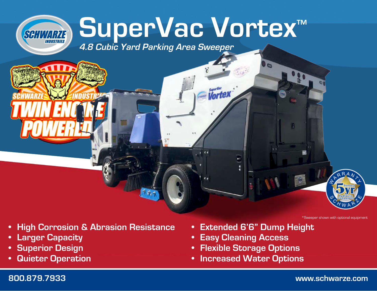# **SuperVac Vortex™**

*<u>Uortex</u>* 

**4.8 Cubic Yard Parking Area Sweeper**



**•Larger Capacity**

SCHWARZE

- **•Superior Design**
- **•Quieter Operation**

**• Extended 6'6" Dump Height**

6

- **•Easy Cleaning Access**
- **•Flexible Storage Options**
- **• Increased Water Options**

#### **800.879.7933 www.schwarze.com**

\*Sweeper shown with optional equipment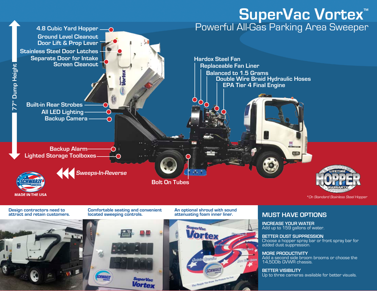## ${\sf SuperVac \: Vortex}^{\sf \tiny \#}$ Powerful All-Gas Parking Area Sweeper



**Design contractors need to attract and retain customers.**

**4.8 Cubic Yard Hopper**

**located sweeping controls.**

perVac **Vortex** 

**Comfortable seating and convenient An optional shroud with sound attenuating foam inner liner.**



#### **MUST HAVE OPTIONS**

**INCREASE YOUR WATER** Add up to 159 gallons of water.

#### **BETTER DUST SUPPRESSION**

Choose a hopper spray bar or front spray bar for added dust suppression.

**MORE PRODUCTIVITY** Add a second side broom brooms or choose the 14,500lb GVWR chassis.

**BETTER VISIBILITY** Up to three cameras available for better visuals.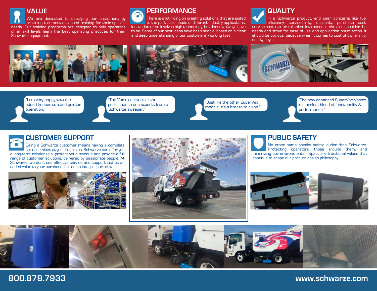#### **VALUE** We are dedicated to satisfying our customers by providing the most advanced training for their specific needs. Our training programs are designed to help operators of all skill levels learn the best operating practices for their Schwarze equipment.

#### **PERFORMANCE**

There is a lot riding on creating solutions that are suited to the particular needs of different industry applications. Innovation often involves high technology, but doesn't always have to be. Some of our best ideas have been simple, based on a clear and deep understanding of our customers' working lives.

### **QUALITY**

In a Schwarze product, end user concerns like fuel efficiency, serviceability, durability, purchase cost, service cost, etc. are all taken into account. We also consider the needs and strive for ease of use and application optimization. It should be obvious, because when it comes to cost of ownership, quality pays.



"I am very happy with the added hopper size and quieter operation."

"The Vortex delivers all the performance one expects from a Schwarze sweeper."

"Just like the other SuperVac models, it's a breeze to clean."

"The new enhanced SuperVac Votrex is a perfect blend of functionality & performance."

#### **CUSTOMER SUPPORT**

Being a Schwarze customer means having a complete set of services at your fingertips. Schwarze can offer you a long-term relationship, protect your revenue and provide a full range of customer solutions, delivered by passionate people. At Schwarze, we don't see effective service and support just as an added value to your purchase, but as an integral part of it.





#### **PUBLIC SAFETY**

No other name speaks safety louder than Schwarze. Protecting operators, those around them, and minimizing our environmental impact are traditional values that continue to shape our product design philosophy.





#### **800.879.7933 www.schwarze.com**